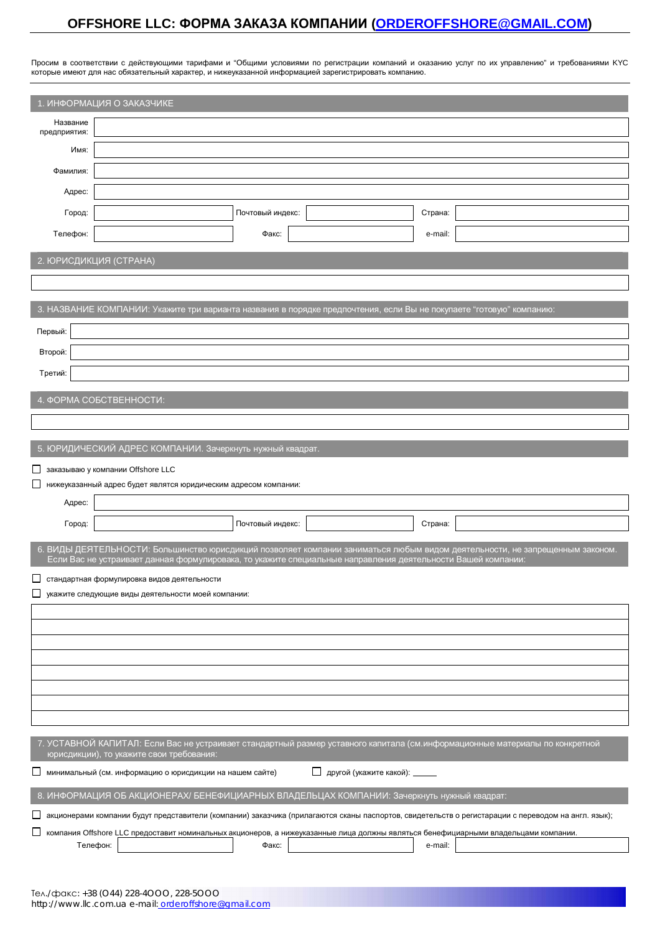# **OFFSHORE LLC: ɎɈɊɆȺɁȺɄȺɁȺɄɈɆɉȺɇɂɂ [\(ORDEROFFSHORE@GMAIL.COM\)](mailto:ORDEROFFSHORE@GMAIL.COM)**

Просим в соответствии с действующими тарифами и "Общими условиями по регистрации компаний и оказанию услуг по их управлению" и требованиями КҮС

ь которые имеют для нас обязательный характер, и нижеуказанной информацией зарегистрировать компанию.<br>которые имеют для нас обязательный характер, и нижеуказанной информацией зарегистрировать компанию.

| 1. ИНФОРМАЦИЯ О ЗАКАЗЧИКЕ                                                                                                                                                |                                                                                                                      |                  |                                 |         |                                                                                                                              |  |  |
|--------------------------------------------------------------------------------------------------------------------------------------------------------------------------|----------------------------------------------------------------------------------------------------------------------|------------------|---------------------------------|---------|------------------------------------------------------------------------------------------------------------------------------|--|--|
| Название<br>предприятия:                                                                                                                                                 |                                                                                                                      |                  |                                 |         |                                                                                                                              |  |  |
| Имя:                                                                                                                                                                     |                                                                                                                      |                  |                                 |         |                                                                                                                              |  |  |
| Фамилия:                                                                                                                                                                 |                                                                                                                      |                  |                                 |         |                                                                                                                              |  |  |
| Адрес:                                                                                                                                                                   |                                                                                                                      |                  |                                 |         |                                                                                                                              |  |  |
| Город:                                                                                                                                                                   |                                                                                                                      | Почтовый индекс: |                                 | Страна: |                                                                                                                              |  |  |
| Телефон:                                                                                                                                                                 |                                                                                                                      | Факс:            |                                 | e-mail: |                                                                                                                              |  |  |
| 2. ЮРИСДИКЦИЯ (СТРАНА)                                                                                                                                                   |                                                                                                                      |                  |                                 |         |                                                                                                                              |  |  |
|                                                                                                                                                                          |                                                                                                                      |                  |                                 |         |                                                                                                                              |  |  |
|                                                                                                                                                                          | 3. НАЗВАНИЕ КОМПАНИИ: Укажите три варианта названия в порядке предпочтения, если Вы не покупаете "готовую" компанию: |                  |                                 |         |                                                                                                                              |  |  |
| Первый:                                                                                                                                                                  |                                                                                                                      |                  |                                 |         |                                                                                                                              |  |  |
| Второй:                                                                                                                                                                  |                                                                                                                      |                  |                                 |         |                                                                                                                              |  |  |
| Третий:                                                                                                                                                                  |                                                                                                                      |                  |                                 |         |                                                                                                                              |  |  |
| 4. ФОРМА СОБСТВЕННОСТИ:                                                                                                                                                  |                                                                                                                      |                  |                                 |         |                                                                                                                              |  |  |
|                                                                                                                                                                          |                                                                                                                      |                  |                                 |         |                                                                                                                              |  |  |
|                                                                                                                                                                          |                                                                                                                      |                  |                                 |         |                                                                                                                              |  |  |
|                                                                                                                                                                          | 5. ЮРИДИЧЕСКИЙ АДРЕС КОМПАНИИ. Зачеркнуть нужный квадрат.                                                            |                  |                                 |         |                                                                                                                              |  |  |
| ப                                                                                                                                                                        | заказываю у компании Offshore LLC<br>нижеуказанный адрес будет являтся юридическим адресом компании:                 |                  |                                 |         |                                                                                                                              |  |  |
| Адрес:                                                                                                                                                                   |                                                                                                                      |                  |                                 |         |                                                                                                                              |  |  |
| Город:                                                                                                                                                                   |                                                                                                                      | Почтовый индекс: |                                 | Страна: |                                                                                                                              |  |  |
|                                                                                                                                                                          |                                                                                                                      |                  |                                 |         | 6. ВИДЫ ДЕЯТЕЛЬНОСТИ: Большинство юрисдикций позволяет компании заниматься любым видом деятельности, не запрещенным законом. |  |  |
|                                                                                                                                                                          | Если Вас не устраивает данная формулировака, то укажите специальные направления деятельности Вашей компании:         |                  |                                 |         |                                                                                                                              |  |  |
|                                                                                                                                                                          | стандартная формулировка видов деятельности<br>укажите следующие виды деятельности моей компании:                    |                  |                                 |         |                                                                                                                              |  |  |
|                                                                                                                                                                          |                                                                                                                      |                  |                                 |         |                                                                                                                              |  |  |
|                                                                                                                                                                          |                                                                                                                      |                  |                                 |         |                                                                                                                              |  |  |
|                                                                                                                                                                          |                                                                                                                      |                  |                                 |         |                                                                                                                              |  |  |
|                                                                                                                                                                          |                                                                                                                      |                  |                                 |         |                                                                                                                              |  |  |
|                                                                                                                                                                          |                                                                                                                      |                  |                                 |         |                                                                                                                              |  |  |
|                                                                                                                                                                          |                                                                                                                      |                  |                                 |         |                                                                                                                              |  |  |
|                                                                                                                                                                          |                                                                                                                      |                  |                                 |         |                                                                                                                              |  |  |
|                                                                                                                                                                          | юрисдикции), то укажите свои требования:                                                                             |                  |                                 |         | 7. УСТАВНОЙ КАПИТАЛ: Если Вас не устраивает стандартный размер уставного капитала (см.информационные материалы по конкретной |  |  |
| ப                                                                                                                                                                        | минимальный (см. информацию о юрисдикции на нашем сайте)                                                             |                  | Д другой (укажите какой): _____ |         |                                                                                                                              |  |  |
|                                                                                                                                                                          | 8. ИНФОРМАЦИЯ ОБ АКЦИОНЕРАХ/ БЕНЕФИЦИАРНЫХ ВЛАДЕЛЬЦАХ КОМПАНИИ: Зачеркнуть нужный квадрат:                           |                  |                                 |         |                                                                                                                              |  |  |
| акционерами компании будут представители (компании) заказчика (прилагаются сканы паспортов, свидетельств о регистарации с переводом на англ. язык);                      |                                                                                                                      |                  |                                 |         |                                                                                                                              |  |  |
| ப<br>компания Offshore LLC предоставит номинальных акционеров, а нижеуказанные лица должны являться бенефициарными владельцами компании.<br>Телефон:<br>Факс:<br>e-mail: |                                                                                                                      |                  |                                 |         |                                                                                                                              |  |  |
|                                                                                                                                                                          |                                                                                                                      |                  |                                 |         |                                                                                                                              |  |  |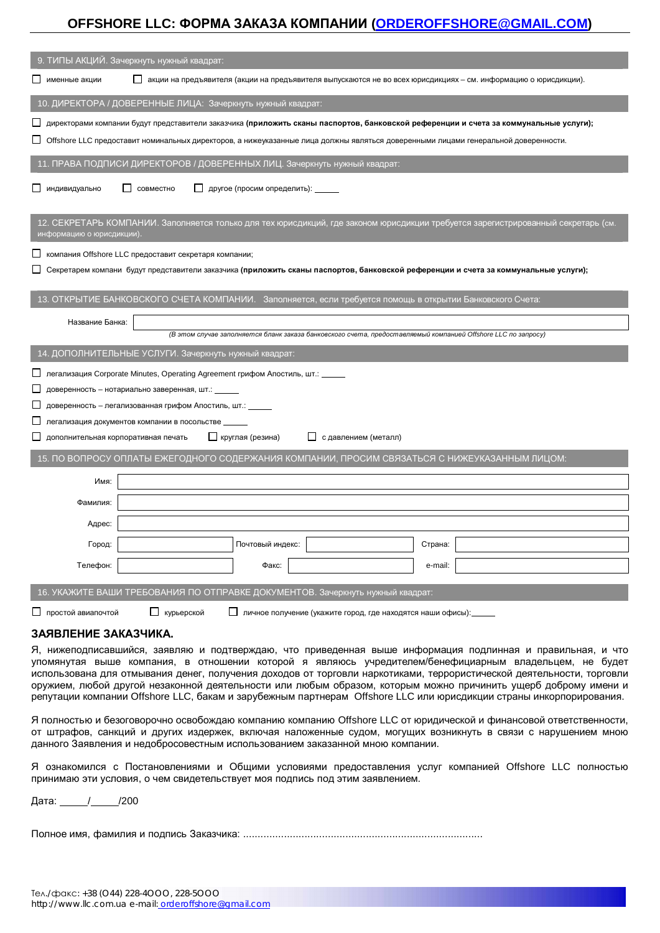# **OFFSHORE LLC: ɎɈɊɆȺɁȺɄȺɁȺɄɈɆɉȺɇɂɂ [\(ORDEROFFSHORE@GMAIL.COM\)](mailto:ORDEROFFSHORE@GMAIL.COM)**

| 9. ТИПЫ АКЦИЙ. Зачеркнуть нужный квадрат:                                                                                                                                             |  |  |  |  |  |
|---------------------------------------------------------------------------------------------------------------------------------------------------------------------------------------|--|--|--|--|--|
| именные акции<br>акции на предъявителя (акции на предъявителя выпускаются не во всех юрисдикциях - см. информацию о юрисдикции).                                                      |  |  |  |  |  |
| 10. ДИРЕКТОРА / ДОВЕРЕННЫЕ ЛИЦА: Зачеркнуть нужный квадрат:                                                                                                                           |  |  |  |  |  |
| директорами компании будут представители заказчика (приложить сканы паспортов, банковской референции и счета за коммунальные услуги);                                                 |  |  |  |  |  |
| Offshore LLC предоставит номинальных директоров, а нижеуказанные лица должны являться доверенными лицами генеральной доверенности.                                                    |  |  |  |  |  |
| 11. ПРАВА ПОДПИСИ ДИРЕКТОРОВ / ДОВЕРЕННЫХ ЛИЦ. Зачеркнуть нужный квадрат:                                                                                                             |  |  |  |  |  |
| Д другое (просим определить): _____<br><u> </u> индивидуально<br>совместно                                                                                                            |  |  |  |  |  |
| 12. СЕКРЕТАРЬ КОМПАНИИ. Заполняется только для тех юрисдикций, где законом юрисдикции требуется зарегистрированный секретарь (см.<br>информацию о юрисдикции).                        |  |  |  |  |  |
| компания Offshore LLC предоставит секретаря компании;                                                                                                                                 |  |  |  |  |  |
| Секретарем компани будут представители заказчика (приложить сканы паспортов, банковской референции и счета за коммунальные услуги);                                                   |  |  |  |  |  |
| 13. ОТКРЫТИЕ БАНКОВСКОГО СЧЕТА КОМПАНИИ. Заполняется, если требуется помощь в открытии Банковского Счета:                                                                             |  |  |  |  |  |
| Название Банка:                                                                                                                                                                       |  |  |  |  |  |
| (В этом случае заполняется бланк заказа банковского счета, предоставляемый компанией Offshore LLC по запросу)                                                                         |  |  |  |  |  |
|                                                                                                                                                                                       |  |  |  |  |  |
| 14. ДОПОЛНИТЕЛЬНЫЕ УСЛУГИ. Зачеркнуть нужный квадрат:                                                                                                                                 |  |  |  |  |  |
| легализация Corporate Minutes, Operating Agreement грифом Апостиль, шт.: ______                                                                                                       |  |  |  |  |  |
| доверенность - нотариально заверенная, шт.: ______                                                                                                                                    |  |  |  |  |  |
| доверенность - легализованная грифом Апостиль, шт.: ______                                                                                                                            |  |  |  |  |  |
| легализация документов компании в посольстве                                                                                                                                          |  |  |  |  |  |
| П круглая (резина)<br>□ сдавлением (металл)<br>дополнительная корпоративная печать                                                                                                    |  |  |  |  |  |
| 15. ПО ВОПРОСУ ОПЛАТЫ ЕЖЕГОДНОГО СОДЕРЖАНИЯ КОМПАНИИ, ПРОСИМ СВЯЗАТЬСЯ С НИЖЕУКАЗАННЫМ ЛИЦОМ:                                                                                         |  |  |  |  |  |
| Имя:                                                                                                                                                                                  |  |  |  |  |  |
| Фамилия:                                                                                                                                                                              |  |  |  |  |  |
| Адрес:                                                                                                                                                                                |  |  |  |  |  |
| Почтовый индекс<br>Город:<br>Страна:                                                                                                                                                  |  |  |  |  |  |
| Телефон:<br>Факс:<br>e-mail:                                                                                                                                                          |  |  |  |  |  |
|                                                                                                                                                                                       |  |  |  |  |  |
| 16. УКАЖИТЕ ВАШИ ТРЕБОВАНИЯ ПО ОТПРАВКЕ ДОКУМЕНТОВ. Зачеркнуть нужный квадрат:<br>□ простой авиапочтой<br>∟ курьерской<br>Личное получение (укажите город, где находятся наши офисы): |  |  |  |  |  |

## ЗАЯВЛЕНИЕ ЗАКАЗЧИКА.

Я, нижеподписавшийся, заявляю и подтверждаю, что приведенная выше информация подлинная и правильная, и что үпомянутая выше компания, в отношении которой я являюсь учредителем/бенефициарным владельцем, не будет использована для отмывания денег, получения доходов от торговли наркотиками, террористической деятельности, торговли оружием, любой другой незаконной деятельности или любым образом, которым можно причинить ущерб доброму имени и репутации компании Offshore LLC, бакам и зарубежным партнерам Offshore LLC или юрисдикции страны инкорпорирования.

Я полностью и безоговорочно освобождаю компанию компанию Offshore LLC от юридической и финансовой ответственности, от штрафов, санкций и других издержек, включая наложенные судом, могущих возникнуть в связи с нарушением мною данного Заявления и недобросовестным использованием заказанной мною компании.

Я ознакомился с Постановлениями и Общими условиями предоставления услуг компанией Offshore LLC полностью принимаю эти условия, о чем свидетельствует моя подпись под этим заявлением.

Дата: / /200

ɉɨɥɧɨɟɢɦɹ, ɮɚɦɢɥɢɹɢɩɨɞɩɢɫɶɁɚɤɚɡɱɢɤɚ: ..................................................................................